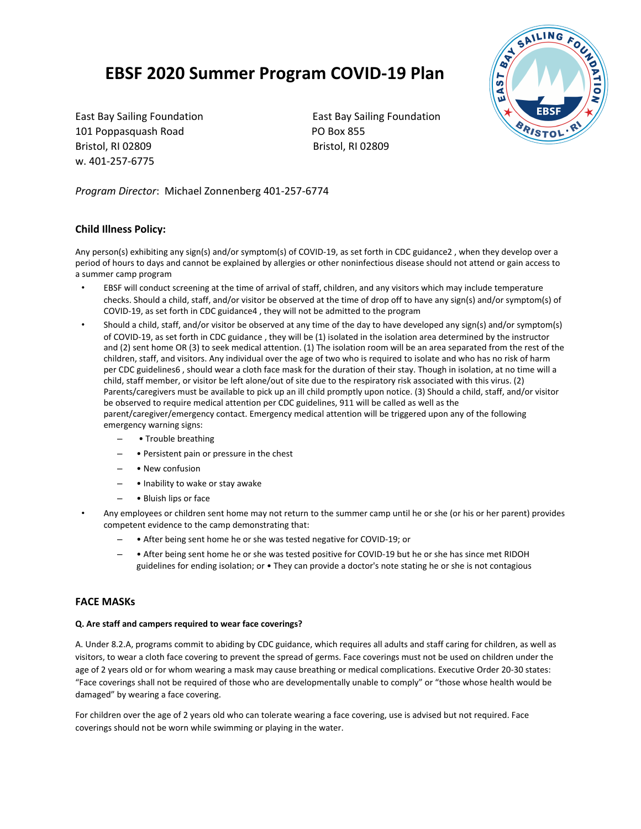# **EBSF 2020 Summer Program COVID-19 Plan**

101 Poppasquash Road PO Box 855 Bristol, RI 02809 Bristol, RI 02809 w. 401-257-6775

East Bay Sailing Foundation East Bay Sailing Foundation



*Program Director*: Michael Zonnenberg 401-257-6774

## **Child Illness Policy:**

Any person(s) exhibiting any sign(s) and/or symptom(s) of COVID-19, as set forth in CDC guidance2 , when they develop over a period of hours to days and cannot be explained by allergies or other noninfectious disease should not attend or gain access to a summer camp program

- EBSF will conduct screening at the time of arrival of staff, children, and any visitors which may include temperature checks. Should a child, staff, and/or visitor be observed at the time of drop off to have any sign(s) and/or symptom(s) of COVID-19, as set forth in CDC guidance4 , they will not be admitted to the program
- Should a child, staff, and/or visitor be observed at any time of the day to have developed any sign(s) and/or symptom(s) of COVID-19, as set forth in CDC guidance , they will be (1) isolated in the isolation area determined by the instructor and (2) sent home OR (3) to seek medical attention. (1) The isolation room will be an area separated from the rest of the children, staff, and visitors. Any individual over the age of two who is required to isolate and who has no risk of harm per CDC guidelines6 , should wear a cloth face mask for the duration of their stay. Though in isolation, at no time will a child, staff member, or visitor be left alone/out of site due to the respiratory risk associated with this virus. (2) Parents/caregivers must be available to pick up an ill child promptly upon notice. (3) Should a child, staff, and/or visitor be observed to require medical attention per CDC guidelines, 911 will be called as well as the parent/caregiver/emergency contact. Emergency medical attention will be triggered upon any of the following emergency warning signs:
	- • Trouble breathing
	- • Persistent pain or pressure in the chest
	- • New confusion
	- • Inability to wake or stay awake
	- • Bluish lips or face
- Any employees or children sent home may not return to the summer camp until he or she (or his or her parent) provides competent evidence to the camp demonstrating that:
	- • After being sent home he or she was tested negative for COVID-19; or
	- • After being sent home he or she was tested positive for COVID-19 but he or she has since met RIDOH guidelines for ending isolation; or • They can provide a doctor's note stating he or she is not contagious

### **FACE MASKs**

#### **Q. Are staff and campers required to wear face coverings?**

A. Under 8.2.A, programs commit to abiding by CDC guidance, which requires all adults and staff caring for children, as well as visitors, to wear a cloth face covering to prevent the spread of germs. Face coverings must not be used on children under the age of 2 years old or for whom wearing a mask may cause breathing or medical complications. Executive Order 20-30 states: "Face coverings shall not be required of those who are developmentally unable to comply" or "those whose health would be damaged" by wearing a face covering.

For children over the age of 2 years old who can tolerate wearing a face covering, use is advised but not required. Face coverings should not be worn while swimming or playing in the water.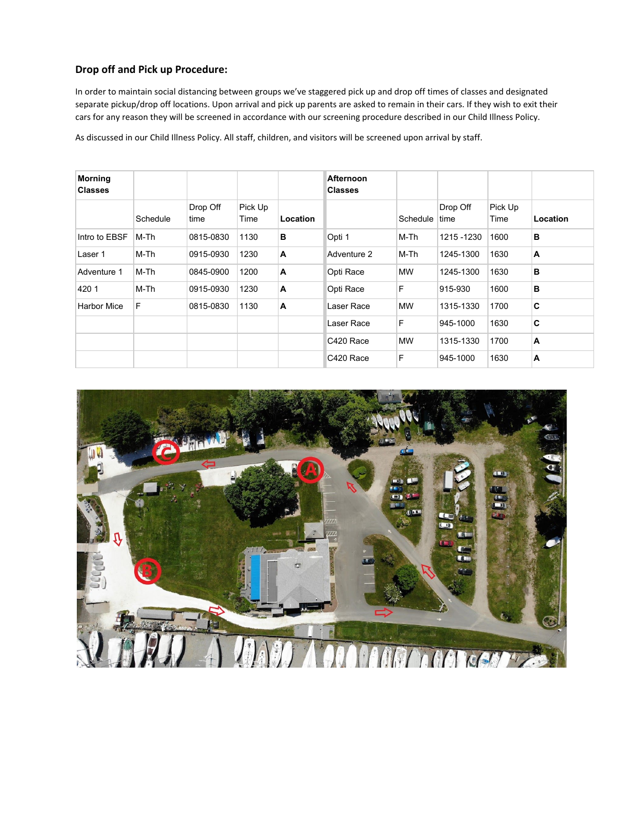# **Drop off and Pick up Procedure:**

In order to maintain social distancing between groups we've staggered pick up and drop off times of classes and designated separate pickup/drop off locations. Upon arrival and pick up parents are asked to remain in their cars. If they wish to exit their cars for any reason they will be screened in accordance with our screening procedure described in our Child Illness Policy.

As discussed in our Child Illness Policy. All staff, children, and visitors will be screened upon arrival by staff.

| <b>Morning</b><br><b>Classes</b> |          |                  |                 |          | Afternoon<br><b>Classes</b> |           |                  |                 |                |
|----------------------------------|----------|------------------|-----------------|----------|-----------------------------|-----------|------------------|-----------------|----------------|
|                                  | Schedule | Drop Off<br>time | Pick Up<br>Time | Location |                             | Schedule  | Drop Off<br>time | Pick Up<br>Time | Location       |
| Intro to EBSF                    | M-Th     | 0815-0830        | 1130            | в        | Opti 1                      | M-Th      | 1215 - 1230      | 1600            | B              |
| Laser 1                          | M-Th     | 0915-0930        | 1230            | A        | Adventure 2                 | M-Th      | 1245-1300        | 1630            | $\overline{A}$ |
| Adventure 1                      | M-Th     | 0845-0900        | 1200            | A        | Opti Race                   | <b>MW</b> | 1245-1300        | 1630            | в              |
| 420 1                            | M-Th     | 0915-0930        | 1230            | A        | Opti Race                   | F         | 915-930          | 1600            | в              |
| <b>Harbor Mice</b>               | F        | 0815-0830        | 1130            | A        | Laser Race                  | <b>MW</b> | 1315-1330        | 1700            | C              |
|                                  |          |                  |                 |          | Laser Race                  | F         | 945-1000         | 1630            | C              |
|                                  |          |                  |                 |          | C420 Race                   | <b>MW</b> | 1315-1330        | 1700            | $\overline{A}$ |
|                                  |          |                  |                 |          | C420 Race                   | F         | 945-1000         | 1630            | A              |